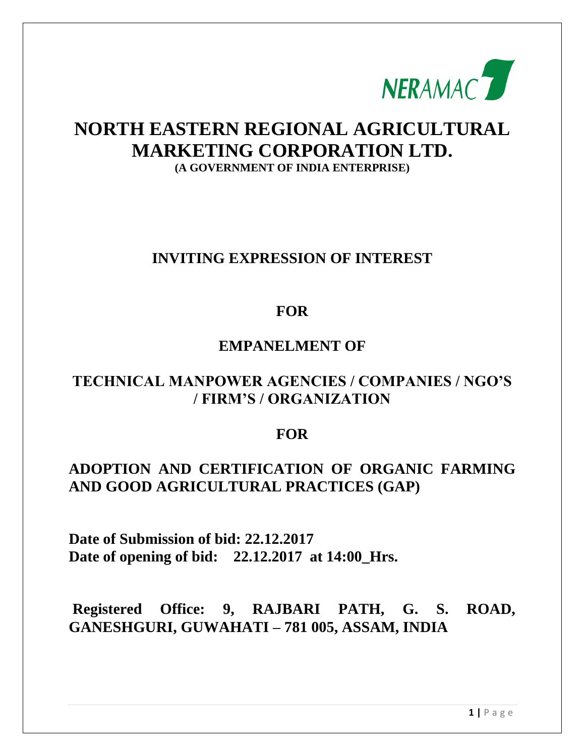

# **NORTH EASTERN REGIONAL AGRICULTURAL MARKETING CORPORATION LTD. (A GOVERNMENT OF INDIA ENTERPRISE)**

## **INVITING EXPRESSION OF INTEREST**

## **FOR**

## **EMPANELMENT OF**

## **TECHNICAL MANPOWER AGENCIES / COMPANIES / NGO'S / FIRM'S / ORGANIZATION**

## **FOR**

# **ADOPTION AND CERTIFICATION OF ORGANIC FARMING AND GOOD AGRICULTURAL PRACTICES (GAP)**

**Date of Submission of bid: 22.12.2017 Date of opening of bid: 22.12.2017 at 14:00\_Hrs.**

**Registered Office: 9, RAJBARI PATH, G. S. ROAD, GANESHGURI, GUWAHATI – 781 005, ASSAM, INDIA**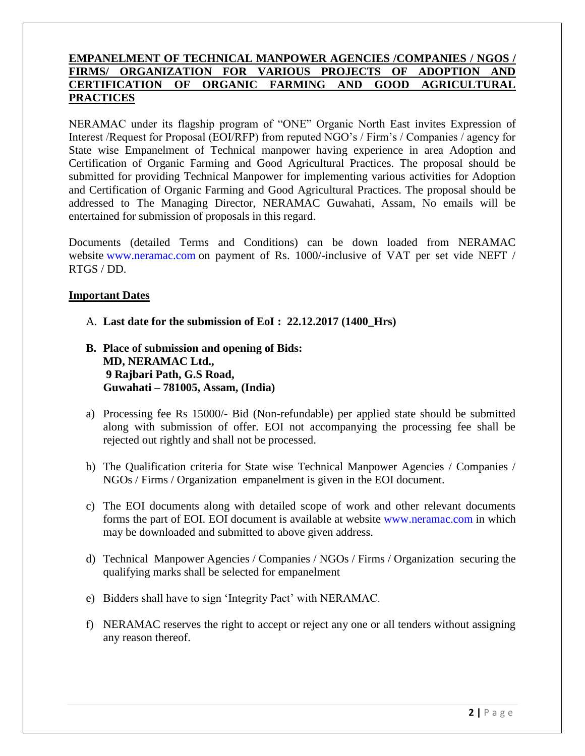## **EMPANELMENT OF TECHNICAL MANPOWER AGENCIES /COMPANIES / NGOS / FIRMS/ ORGANIZATION FOR VARIOUS PROJECTS OF ADOPTION AND CERTIFICATION OF ORGANIC FARMING AND GOOD AGRICULTURAL PRACTICES**

NERAMAC under its flagship program of "ONE" Organic North East invites Expression of Interest /Request for Proposal (EOI/RFP) from reputed NGO"s / Firm"s / Companies / agency for State wise Empanelment of Technical manpower having experience in area Adoption and Certification of Organic Farming and Good Agricultural Practices. The proposal should be submitted for providing Technical Manpower for implementing various activities for Adoption and Certification of Organic Farming and Good Agricultural Practices. The proposal should be addressed to The Managing Director, NERAMAC Guwahati, Assam, No emails will be entertained for submission of proposals in this regard.

Documents (detailed Terms and Conditions) can be down loaded from NERAMAC website [www.neramac.com](http://www.neramac.com/) on payment of Rs. 1000/-inclusive of VAT per set vide NEFT / RTGS / DD.

## **Important Dates**

- A. **Last date for the submission of EoI : 22.12.2017 (1400\_Hrs)**
- **B. Place of submission and opening of Bids: MD, NERAMAC Ltd., 9 Rajbari Path, G.S Road, Guwahati – 781005, Assam, (India)**
- a) Processing fee Rs 15000/- Bid (Non-refundable) per applied state should be submitted along with submission of offer. EOI not accompanying the processing fee shall be rejected out rightly and shall not be processed.
- b) The Qualification criteria for State wise Technical Manpower Agencies / Companies / NGOs / Firms / Organization empanelment is given in the EOI document.
- c) The EOI documents along with detailed scope of work and other relevant documents forms the part of EOI. EOI document is available at website [www.neramac.com](http://www.neramac.com/) in which may be downloaded and submitted to above given address.
- d) Technical Manpower Agencies / Companies / NGOs / Firms / Organization securing the qualifying marks shall be selected for empanelment
- e) Bidders shall have to sign "Integrity Pact" with NERAMAC.
- f) NERAMAC reserves the right to accept or reject any one or all tenders without assigning any reason thereof.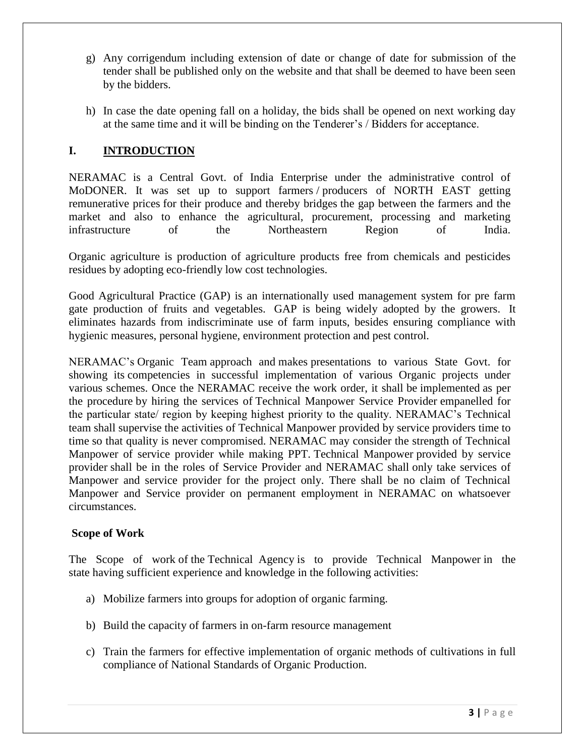- g) Any corrigendum including extension of date or change of date for submission of the tender shall be published only on the website and that shall be deemed to have been seen by the bidders.
- h) In case the date opening fall on a holiday, the bids shall be opened on next working day at the same time and it will be binding on the Tenderer"s / Bidders for acceptance.

## **I. INTRODUCTION**

NERAMAC is a Central Govt. of India Enterprise under the administrative control of MoDONER. It was set up to support farmers / producers of NORTH EAST getting remunerative prices for their produce and thereby bridges the gap between the farmers and the market and also to enhance the agricultural, procurement, processing and marketing infrastructure of the Northeastern Region of India.

Organic agriculture is production of agriculture products free from chemicals and pesticides residues by adopting eco-friendly low cost technologies.

Good Agricultural Practice (GAP) is an internationally used management system for pre farm gate production of fruits and vegetables. GAP is being widely adopted by the growers. It eliminates hazards from indiscriminate use of farm inputs, besides ensuring compliance with hygienic measures, personal hygiene, environment protection and pest control.

NERAMAC"s Organic Team approach and makes presentations to various State Govt. for showing its competencies in successful implementation of various Organic projects under various schemes. Once the NERAMAC receive the work order, it shall be implemented as per the procedure by hiring the services of Technical Manpower Service Provider empanelled for the particular state/ region by keeping highest priority to the quality. NERAMAC"s Technical team shall supervise the activities of Technical Manpower provided by service providers time to time so that quality is never compromised. NERAMAC may consider the strength of Technical Manpower of service provider while making PPT. Technical Manpower provided by service provider shall be in the roles of Service Provider and NERAMAC shall only take services of Manpower and service provider for the project only. There shall be no claim of Technical Manpower and Service provider on permanent employment in NERAMAC on whatsoever circumstances.

## **Scope of Work**

The Scope of work of the Technical Agency is to provide Technical Manpower in the state having sufficient experience and knowledge in the following activities:

- a) Mobilize farmers into groups for adoption of organic farming.
- b) Build the capacity of farmers in on-farm resource management
- c) Train the farmers for effective implementation of organic methods of cultivations in full compliance of National Standards of Organic Production.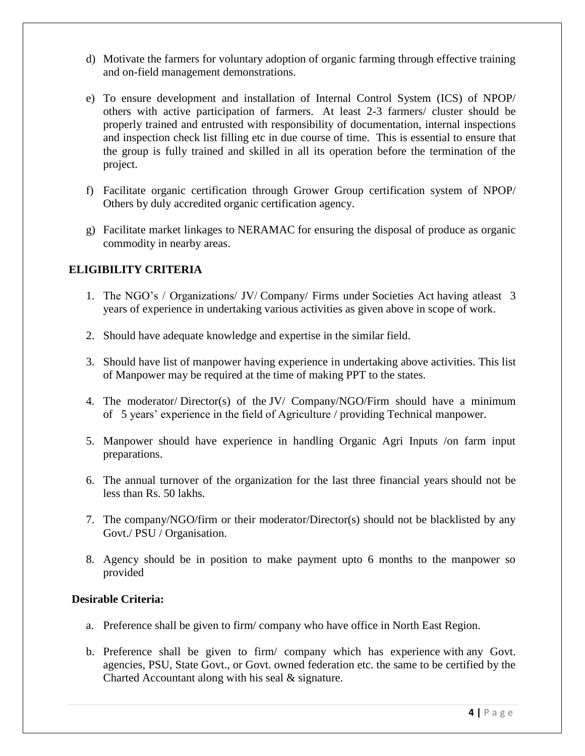- d) Motivate the farmers for voluntary adoption of organic farming through effective training and on-field management demonstrations.
- e) To ensure development and installation of Internal Control System (ICS) of NPOP/ others with active participation of farmers. At least 2-3 farmers/ cluster should be properly trained and entrusted with responsibility of documentation, internal inspections and inspection check list filling etc in due course of time. This is essential to ensure that the group is fully trained and skilled in all its operation before the termination of the project.
- f) Facilitate organic certification through Grower Group certification system of NPOP/ Others by duly accredited organic certification agency.
- g) Facilitate market linkages to NERAMAC for ensuring the disposal of produce as organic commodity in nearby areas.

## **ELIGIBILITY CRITERIA**

- 1. The NGO"s / Organizations/ JV/ Company/ Firms under Societies Act having atleast 3 years of experience in undertaking various activities as given above in scope of work.
- 2. Should have adequate knowledge and expertise in the similar field.
- 3. Should have list of manpower having experience in undertaking above activities. This list of Manpower may be required at the time of making PPT to the states.
- 4. The moderator/ Director(s) of the JV/ Company/NGO/Firm should have a minimum of 5 years" experience in the field of Agriculture / providing Technical manpower.
- 5. Manpower should have experience in handling Organic Agri Inputs /on farm input preparations.
- 6. The annual turnover of the organization for the last three financial years should not be less than Rs. 50 lakhs.
- 7. The company/NGO/firm or their moderator/Director(s) should not be blacklisted by any Govt./ PSU / Organisation.
- 8. Agency should be in position to make payment upto 6 months to the manpower so provided

## **Desirable Criteria:**

- a. Preference shall be given to firm/ company who have office in North East Region.
- b. Preference shall be given to firm/ company which has experience with any Govt. agencies, PSU, State Govt., or Govt. owned federation etc. the same to be certified by the Charted Accountant along with his seal & signature.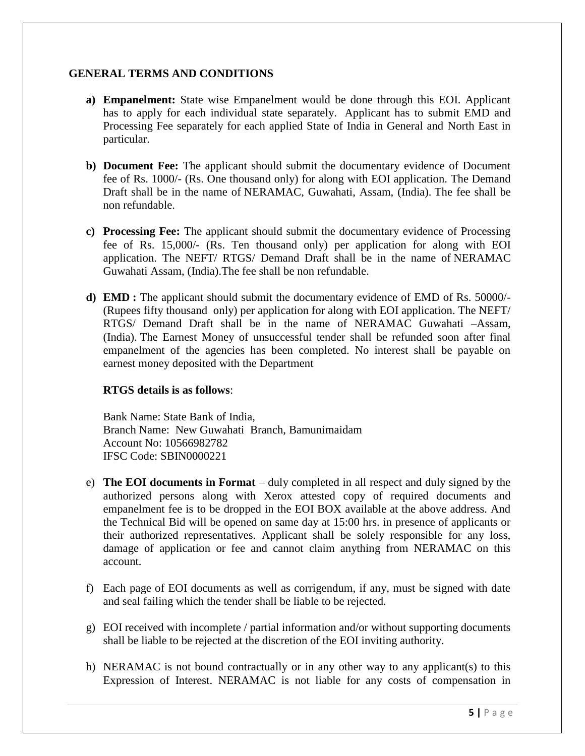## **GENERAL TERMS AND CONDITIONS**

- **a) Empanelment:** State wise Empanelment would be done through this EOI. Applicant has to apply for each individual state separately. Applicant has to submit EMD and Processing Fee separately for each applied State of India in General and North East in particular.
- **b) Document Fee:** The applicant should submit the documentary evidence of Document fee of Rs. 1000/- (Rs. One thousand only) for along with EOI application. The Demand Draft shall be in the name of NERAMAC, Guwahati, Assam, (India). The fee shall be non refundable.
- **c) Processing Fee:** The applicant should submit the documentary evidence of Processing fee of Rs. 15,000/- (Rs. Ten thousand only) per application for along with EOI application. The NEFT/ RTGS/ Demand Draft shall be in the name of NERAMAC Guwahati Assam, (India).The fee shall be non refundable.
- **d) EMD :** The applicant should submit the documentary evidence of EMD of Rs. 50000/- (Rupees fifty thousand only) per application for along with EOI application. The NEFT/ RTGS/ Demand Draft shall be in the name of NERAMAC Guwahati –Assam, (India). The Earnest Money of unsuccessful tender shall be refunded soon after final empanelment of the agencies has been completed. No interest shall be payable on earnest money deposited with the Department

## **RTGS details is as follows**:

Bank Name: State Bank of India, Branch Name: New Guwahati Branch, Bamunimaidam Account No: 10566982782 IFSC Code: SBIN0000221

- e) **The EOI documents in Format** duly completed in all respect and duly signed by the authorized persons along with Xerox attested copy of required documents and empanelment fee is to be dropped in the EOI BOX available at the above address. And the Technical Bid will be opened on same day at 15:00 hrs. in presence of applicants or their authorized representatives. Applicant shall be solely responsible for any loss, damage of application or fee and cannot claim anything from NERAMAC on this account.
- f) Each page of EOI documents as well as corrigendum, if any, must be signed with date and seal failing which the tender shall be liable to be rejected.
- g) EOI received with incomplete / partial information and/or without supporting documents shall be liable to be rejected at the discretion of the EOI inviting authority.
- h) NERAMAC is not bound contractually or in any other way to any applicant(s) to this Expression of Interest. NERAMAC is not liable for any costs of compensation in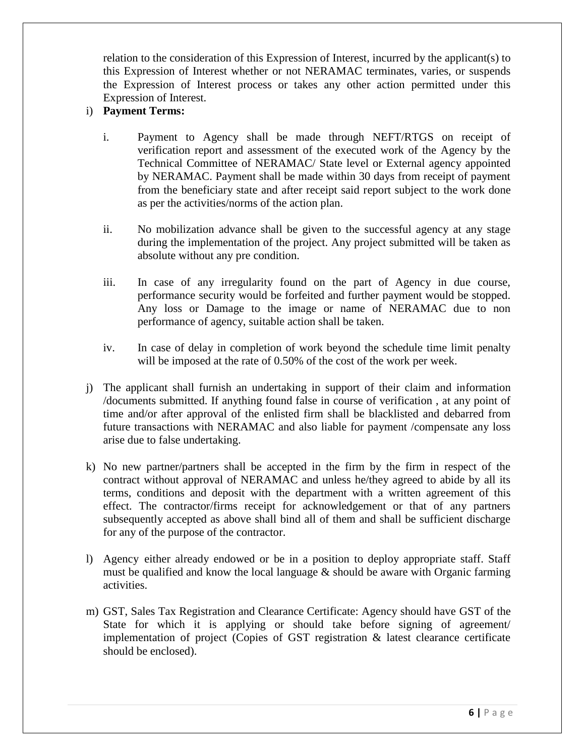relation to the consideration of this Expression of Interest, incurred by the applicant(s) to this Expression of Interest whether or not NERAMAC terminates, varies, or suspends the Expression of Interest process or takes any other action permitted under this Expression of Interest.

## i) **Payment Terms:**

- i. Payment to Agency shall be made through NEFT/RTGS on receipt of verification report and assessment of the executed work of the Agency by the Technical Committee of NERAMAC/ State level or External agency appointed by NERAMAC. Payment shall be made within 30 days from receipt of payment from the beneficiary state and after receipt said report subject to the work done as per the activities/norms of the action plan.
- ii. No mobilization advance shall be given to the successful agency at any stage during the implementation of the project. Any project submitted will be taken as absolute without any pre condition.
- iii. In case of any irregularity found on the part of Agency in due course, performance security would be forfeited and further payment would be stopped. Any loss or Damage to the image or name of NERAMAC due to non performance of agency, suitable action shall be taken.
- iv. In case of delay in completion of work beyond the schedule time limit penalty will be imposed at the rate of 0.50% of the cost of the work per week.
- j) The applicant shall furnish an undertaking in support of their claim and information /documents submitted. If anything found false in course of verification , at any point of time and/or after approval of the enlisted firm shall be blacklisted and debarred from future transactions with NERAMAC and also liable for payment /compensate any loss arise due to false undertaking.
- k) No new partner/partners shall be accepted in the firm by the firm in respect of the contract without approval of NERAMAC and unless he/they agreed to abide by all its terms, conditions and deposit with the department with a written agreement of this effect. The contractor/firms receipt for acknowledgement or that of any partners subsequently accepted as above shall bind all of them and shall be sufficient discharge for any of the purpose of the contractor.
- l) Agency either already endowed or be in a position to deploy appropriate staff. Staff must be qualified and know the local language  $\&$  should be aware with Organic farming activities.
- m) GST, Sales Tax Registration and Clearance Certificate: Agency should have GST of the State for which it is applying or should take before signing of agreement/ implementation of project (Copies of GST registration & latest clearance certificate should be enclosed).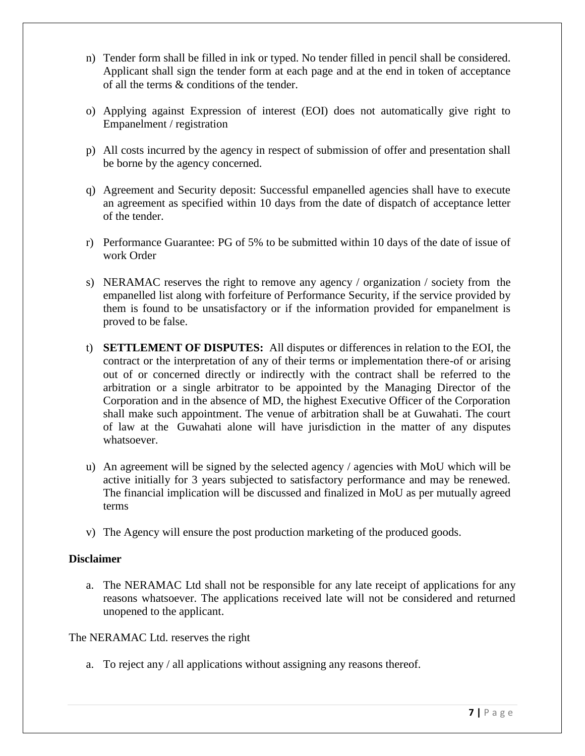- n) Tender form shall be filled in ink or typed. No tender filled in pencil shall be considered. Applicant shall sign the tender form at each page and at the end in token of acceptance of all the terms & conditions of the tender.
- o) Applying against Expression of interest (EOI) does not automatically give right to Empanelment / registration
- p) All costs incurred by the agency in respect of submission of offer and presentation shall be borne by the agency concerned.
- q) Agreement and Security deposit: Successful empanelled agencies shall have to execute an agreement as specified within 10 days from the date of dispatch of acceptance letter of the tender.
- r) Performance Guarantee: PG of 5% to be submitted within 10 days of the date of issue of work Order
- s) NERAMAC reserves the right to remove any agency / organization / society from the empanelled list along with forfeiture of Performance Security, if the service provided by them is found to be unsatisfactory or if the information provided for empanelment is proved to be false.
- t) **SETTLEMENT OF DISPUTES:** All disputes or differences in relation to the EOI, the contract or the interpretation of any of their terms or implementation there-of or arising out of or concerned directly or indirectly with the contract shall be referred to the arbitration or a single arbitrator to be appointed by the Managing Director of the Corporation and in the absence of MD, the highest Executive Officer of the Corporation shall make such appointment. The venue of arbitration shall be at Guwahati. The court of law at the Guwahati alone will have jurisdiction in the matter of any disputes whatsoever.
- u) An agreement will be signed by the selected agency / agencies with MoU which will be active initially for 3 years subjected to satisfactory performance and may be renewed. The financial implication will be discussed and finalized in MoU as per mutually agreed terms
- v) The Agency will ensure the post production marketing of the produced goods.

## **Disclaimer**

a. The NERAMAC Ltd shall not be responsible for any late receipt of applications for any reasons whatsoever. The applications received late will not be considered and returned unopened to the applicant.

The NERAMAC Ltd. reserves the right

a. To reject any / all applications without assigning any reasons thereof.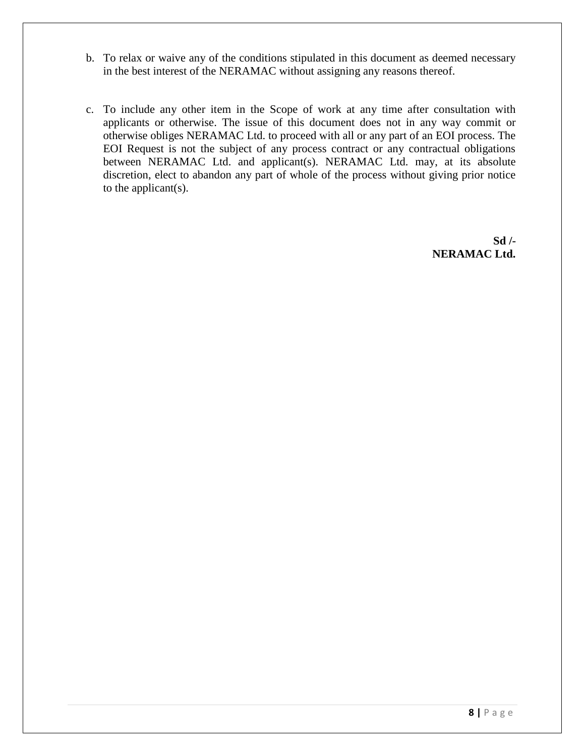- b. To relax or waive any of the conditions stipulated in this document as deemed necessary in the best interest of the NERAMAC without assigning any reasons thereof.
- c. To include any other item in the Scope of work at any time after consultation with applicants or otherwise. The issue of this document does not in any way commit or otherwise obliges NERAMAC Ltd. to proceed with all or any part of an EOI process. The EOI Request is not the subject of any process contract or any contractual obligations between NERAMAC Ltd. and applicant(s). NERAMAC Ltd. may, at its absolute discretion, elect to abandon any part of whole of the process without giving prior notice to the applicant(s).

**Sd /- NERAMAC Ltd.**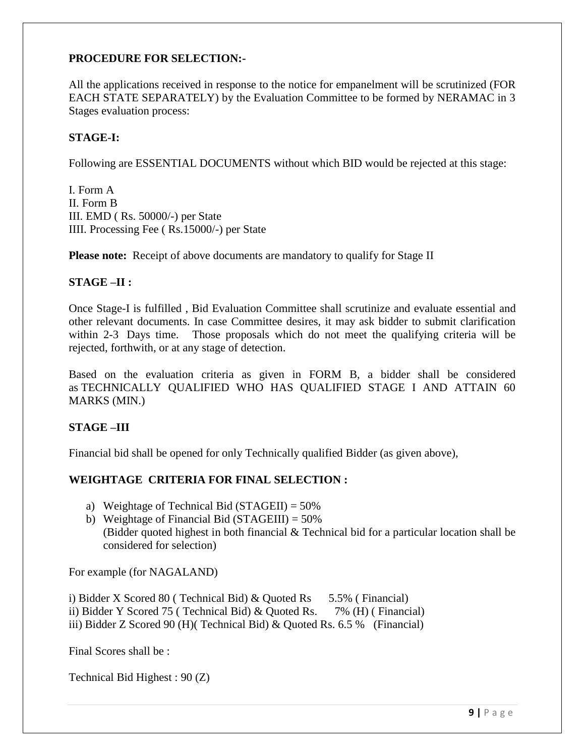## **PROCEDURE FOR SELECTION:-**

All the applications received in response to the notice for empanelment will be scrutinized (FOR EACH STATE SEPARATELY) by the Evaluation Committee to be formed by NERAMAC in 3 Stages evaluation process:

## **STAGE-I:**

Following are ESSENTIAL DOCUMENTS without which BID would be rejected at this stage:

I. Form A II. Form B III. EMD ( Rs. 50000/-) per State IIII. Processing Fee ( Rs.15000/-) per State

**Please note:** Receipt of above documents are mandatory to qualify for Stage II

#### **STAGE –II :**

Once Stage-I is fulfilled , Bid Evaluation Committee shall scrutinize and evaluate essential and other relevant documents. In case Committee desires, it may ask bidder to submit clarification within 2-3 Days time. Those proposals which do not meet the qualifying criteria will be rejected, forthwith, or at any stage of detection.

Based on the evaluation criteria as given in FORM B, a bidder shall be considered as TECHNICALLY QUALIFIED WHO HAS QUALIFIED STAGE I AND ATTAIN 60 MARKS (MIN.)

## **STAGE –III**

Financial bid shall be opened for only Technically qualified Bidder (as given above),

## **WEIGHTAGE CRITERIA FOR FINAL SELECTION :**

- a) Weightage of Technical Bid (STAGEII) =  $50\%$
- b) Weightage of Financial Bid (STAGEIII) =  $50\%$ (Bidder quoted highest in both financial & Technical bid for a particular location shall be considered for selection)

For example (for NAGALAND)

i) Bidder X Scored 80 ( Technical Bid)  $& Quoted Rs = 5.5\%$  ( Financial) ii) Bidder Y Scored 75 ( Technical Bid) & Quoted Rs. 7% (H) ( Financial) iii) Bidder Z Scored 90 (H)( Technical Bid) & Quoted Rs. 6.5 % (Financial)

Final Scores shall be :

Technical Bid Highest : 90 (Z)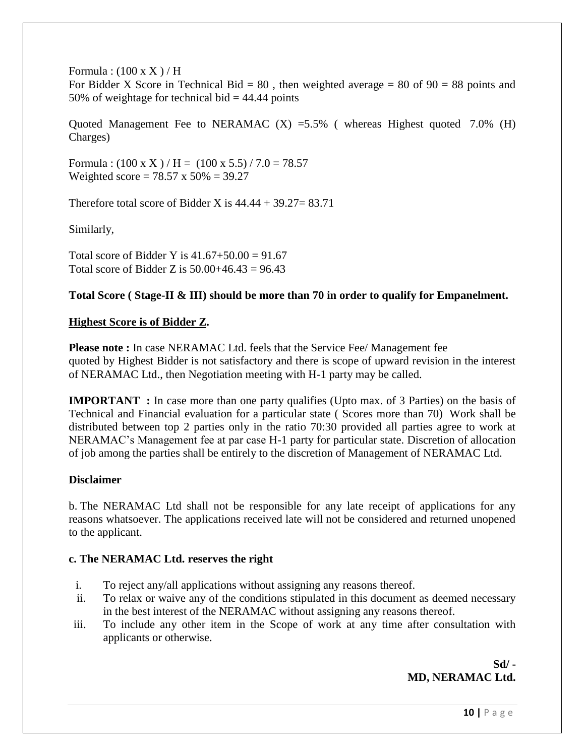Formula :  $(100 \text{ x X})/H$ 

For Bidder X Score in Technical Bid =  $80$ , then weighted average =  $80$  of  $90 = 88$  points and 50% of weightage for technical bid  $=$  44.44 points

Quoted Management Fee to NERAMAC  $(X)$  =5.5% (whereas Highest quoted 7.0% (H) Charges)

Formula :  $(100 \text{ x X}) / \text{H} = (100 \text{ x } 5.5) / 7.0 = 78.57$ Weighted score =  $78.57 \times 50\% = 39.27$ 

Therefore total score of Bidder X is  $44.44 + 39.27 = 83.71$ 

Similarly,

Total score of Bidder Y is  $41.67 + 50.00 = 91.67$ Total score of Bidder Z is  $50.00+46.43 = 96.43$ 

## **Total Score ( Stage-II & III) should be more than 70 in order to qualify for Empanelment.**

## **Highest Score is of Bidder Z.**

**Please note :** In case NERAMAC Ltd. feels that the Service Fee/ Management fee quoted by Highest Bidder is not satisfactory and there is scope of upward revision in the interest of NERAMAC Ltd., then Negotiation meeting with H-1 party may be called.

**IMPORTANT** : In case more than one party qualifies (Upto max. of 3 Parties) on the basis of Technical and Financial evaluation for a particular state ( Scores more than 70) Work shall be distributed between top 2 parties only in the ratio 70:30 provided all parties agree to work at NERAMAC"s Management fee at par case H-1 party for particular state. Discretion of allocation of job among the parties shall be entirely to the discretion of Management of NERAMAC Ltd.

## **Disclaimer**

b. The NERAMAC Ltd shall not be responsible for any late receipt of applications for any reasons whatsoever. The applications received late will not be considered and returned unopened to the applicant.

## **c. The NERAMAC Ltd. reserves the right**

- i. To reject any/all applications without assigning any reasons thereof.
- ii. To relax or waive any of the conditions stipulated in this document as deemed necessary in the best interest of the NERAMAC without assigning any reasons thereof.
- iii. To include any other item in the Scope of work at any time after consultation with applicants or otherwise.

## **Sd/ - MD, NERAMAC Ltd.**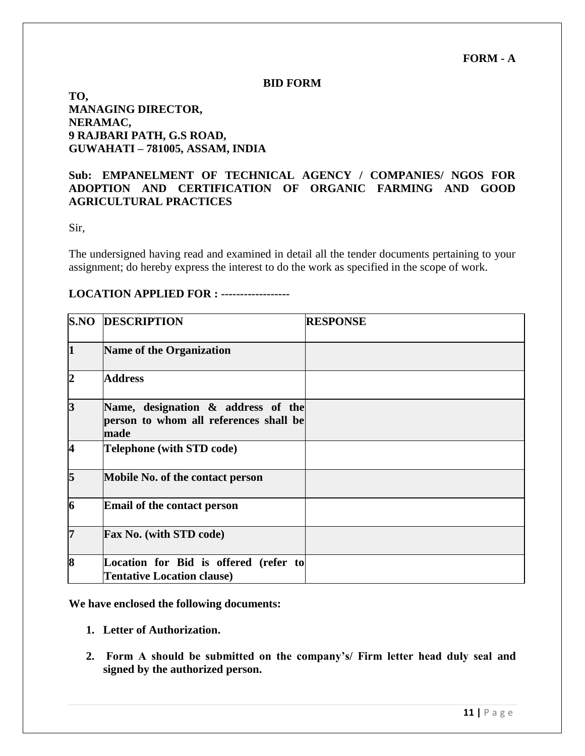**FORM - A**

#### **BID FORM**

## **TO, MANAGING DIRECTOR, NERAMAC, 9 RAJBARI PATH, G.S ROAD, GUWAHATI – 781005, ASSAM, INDIA**

## **Sub: EMPANELMENT OF TECHNICAL AGENCY / COMPANIES/ NGOS FOR ADOPTION AND CERTIFICATION OF ORGANIC FARMING AND GOOD AGRICULTURAL PRACTICES**

Sir,

The undersigned having read and examined in detail all the tender documents pertaining to your assignment; do hereby express the interest to do the work as specified in the scope of work.

#### **LOCATION APPLIED FOR : ------------------**

|                         | <b>S.NO DESCRIPTION</b>                                                              | <b>RESPONSE</b> |
|-------------------------|--------------------------------------------------------------------------------------|-----------------|
| $\mathbf 1$             | Name of the Organization                                                             |                 |
| 2                       | <b>Address</b>                                                                       |                 |
| $\overline{\mathbf{3}}$ | Name, designation & address of the<br>person to whom all references shall be<br>made |                 |
| $\overline{4}$          | <b>Telephone (with STD code)</b>                                                     |                 |
| 5                       | Mobile No. of the contact person                                                     |                 |
| 6                       | <b>Email of the contact person</b>                                                   |                 |
| 17                      | <b>Fax No.</b> (with STD code)                                                       |                 |
| 8                       | Location for Bid is offered (refer to<br><b>Tentative Location clause)</b>           |                 |

**We have enclosed the following documents:**

- **1. Letter of Authorization.**
- **2. Form A should be submitted on the company's/ Firm letter head duly seal and signed by the authorized person.**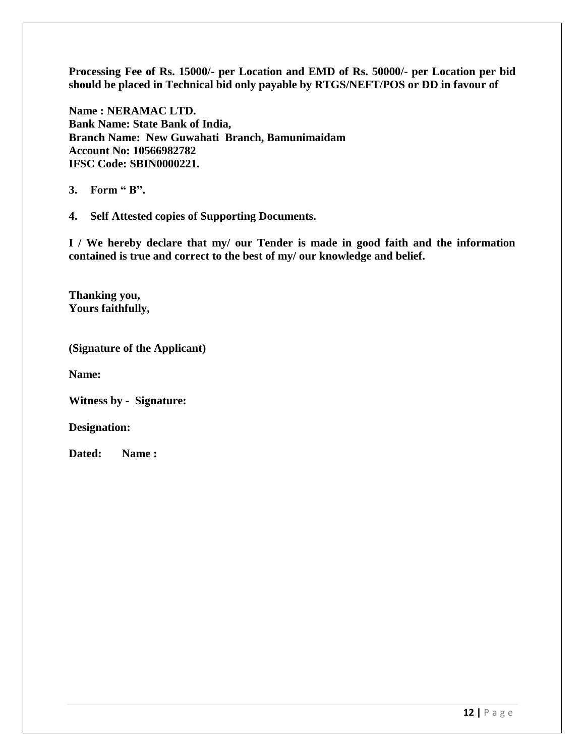**Processing Fee of Rs. 15000/- per Location and EMD of Rs. 50000/- per Location per bid should be placed in Technical bid only payable by RTGS/NEFT/POS or DD in favour of**

**Name : NERAMAC LTD. Bank Name: State Bank of India, Branch Name: New Guwahati Branch, Bamunimaidam Account No: 10566982782 IFSC Code: SBIN0000221.**

**3. Form " B".**

**4. Self Attested copies of Supporting Documents.**

**I / We hereby declare that my/ our Tender is made in good faith and the information contained is true and correct to the best of my/ our knowledge and belief.**

**Thanking you, Yours faithfully,**

**(Signature of the Applicant)** 

**Name:**

**Witness by - Signature:**

**Designation:**

**Dated: Name :**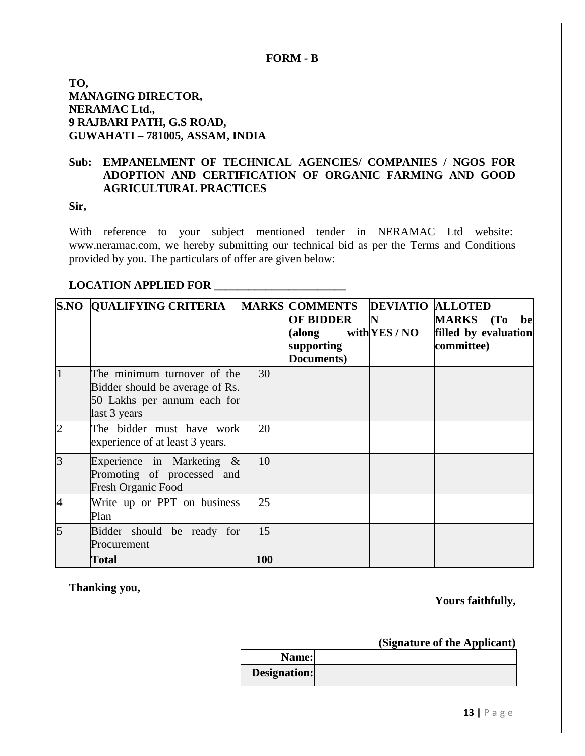## **FORM - B**

**TO, MANAGING DIRECTOR, NERAMAC Ltd., 9 RAJBARI PATH, G.S ROAD, GUWAHATI – 781005, ASSAM, INDIA**

## **Sub: EMPANELMENT OF TECHNICAL AGENCIES/ COMPANIES / NGOS FOR ADOPTION AND CERTIFICATION OF ORGANIC FARMING AND GOOD AGRICULTURAL PRACTICES**

## **Sir,**

With reference to your subject mentioned tender in NERAMAC Ltd website: [www.neramac.com,](http://www.neramac.com/) we hereby submitting our technical bid as per the Terms and Conditions provided by you. The particulars of offer are given below:

## **LOCATION APPLIED FOR \_\_\_\_\_\_\_\_\_\_\_\_\_\_\_\_\_\_\_\_\_\_\_**

|                | <b>S.NO QUALIFYING CRITERIA</b>                                                                               |     | <b>MARKS COMMENTS</b><br><b>OF BIDDER</b><br>(along<br>supporting<br>Documents) | <b>DEVIATIO ALLOTED</b><br>$\mathbf N$<br>with YES / $NO$ | MARKS (To be<br>filled by evaluation<br>committee) |
|----------------|---------------------------------------------------------------------------------------------------------------|-----|---------------------------------------------------------------------------------|-----------------------------------------------------------|----------------------------------------------------|
|                | The minimum turnover of the<br>Bidder should be average of Rs.<br>50 Lakhs per annum each for<br>last 3 years | 30  |                                                                                 |                                                           |                                                    |
| 2              | The bidder must have work<br>experience of at least 3 years.                                                  | 20  |                                                                                 |                                                           |                                                    |
| $\overline{3}$ | Experience in Marketing $\&$<br>Promoting of processed and<br><b>Fresh Organic Food</b>                       | 10  |                                                                                 |                                                           |                                                    |
| 4              | Write up or PPT on business<br>Plan                                                                           | 25  |                                                                                 |                                                           |                                                    |
| 5              | Bidder should be ready for<br>Procurement                                                                     | 15  |                                                                                 |                                                           |                                                    |
|                | <b>Total</b>                                                                                                  | 100 |                                                                                 |                                                           |                                                    |

**Thanking you,**

## **Yours faithfully,**

## **(Signature of the Applicant)**

| Name:        |  |
|--------------|--|
| Designation: |  |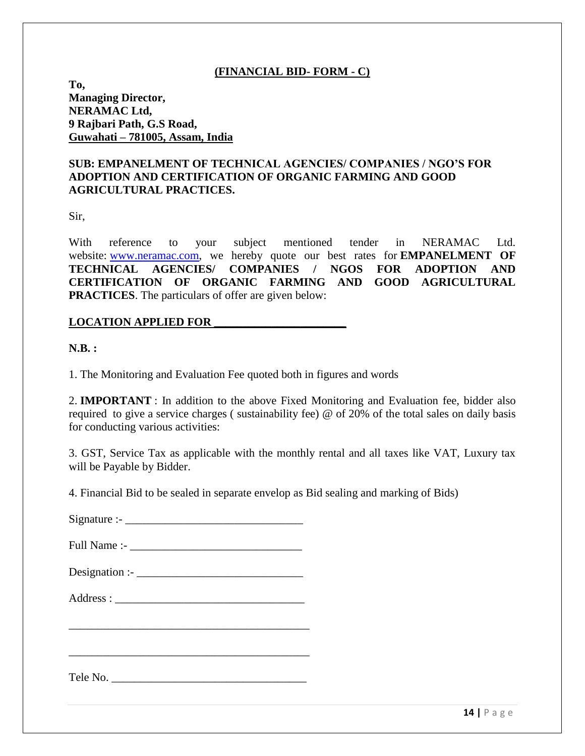## **(FINANCIAL BID- FORM - C)**

**To, Managing Director, NERAMAC Ltd, 9 Rajbari Path, G.S Road, Guwahati – 781005, Assam, India**

## **SUB: EMPANELMENT OF TECHNICAL AGENCIES/ COMPANIES / NGO'S FOR ADOPTION AND CERTIFICATION OF ORGANIC FARMING AND GOOD AGRICULTURAL PRACTICES.**

Sir,

With reference to your subject mentioned tender in NERAMAC Ltd. website: [www.neramac.com,](http://www.neramac.com/) we hereby quote our best rates for **EMPANELMENT OF TECHNICAL AGENCIES/ COMPANIES / NGOS FOR ADOPTION AND CERTIFICATION OF ORGANIC FARMING AND GOOD AGRICULTURAL PRACTICES**. The particulars of offer are given below:

#### **LOCATION APPLIED FOR \_\_\_\_\_\_\_\_\_\_\_\_\_\_\_\_\_\_\_\_\_\_\_**

**N.B. :**

1. The Monitoring and Evaluation Fee quoted both in figures and words

2. **IMPORTANT** : In addition to the above Fixed Monitoring and Evaluation fee, bidder also required to give a service charges ( sustainability fee) @ of 20% of the total sales on daily basis for conducting various activities:

3. GST, Service Tax as applicable with the monthly rental and all taxes like VAT, Luxury tax will be Payable by Bidder.

4. Financial Bid to be sealed in separate envelop as Bid sealing and marking of Bids)

 $Signature:$ 

Full Name :- \_\_\_\_\_\_\_\_\_\_\_\_\_\_\_\_\_\_\_\_\_\_\_\_\_\_\_\_\_\_

Designation :- \_\_\_\_\_\_\_\_\_\_\_\_\_\_\_\_\_\_\_\_\_\_\_\_\_\_\_\_\_

Address : \_\_\_\_\_\_\_\_\_\_\_\_\_\_\_\_\_\_\_\_\_\_\_\_\_\_\_\_\_\_\_\_\_

\_\_\_\_\_\_\_\_\_\_\_\_\_\_\_\_\_\_\_\_\_\_\_\_\_\_\_\_\_\_\_\_\_\_\_\_\_\_\_\_\_\_

\_\_\_\_\_\_\_\_\_\_\_\_\_\_\_\_\_\_\_\_\_\_\_\_\_\_\_\_\_\_\_\_\_\_\_\_\_\_\_\_\_\_

Tele No.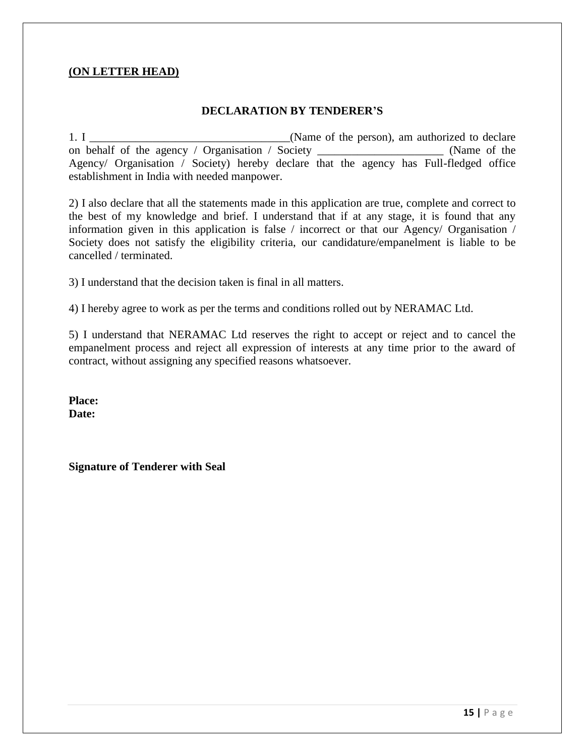## **(ON LETTER HEAD)**

## **DECLARATION BY TENDERER'S**

1. I contract 1. I contract 1. I contract 1. I contract 1. I contract 1. I contract 1. I contract 1. I contract 1. I contract 1. I contract 1. I contract 1. I contract 1. I contract 1. I contract 1. I contract 1. I contrac on behalf of the agency / Organisation / Society \_\_\_\_\_\_\_\_\_\_\_\_\_\_\_\_\_\_\_\_\_\_ (Name of the Agency/ Organisation / Society) hereby declare that the agency has Full-fledged office establishment in India with needed manpower.

2) I also declare that all the statements made in this application are true, complete and correct to the best of my knowledge and brief. I understand that if at any stage, it is found that any information given in this application is false / incorrect or that our Agency/ Organisation / Society does not satisfy the eligibility criteria, our candidature/empanelment is liable to be cancelled / terminated.

3) I understand that the decision taken is final in all matters.

4) I hereby agree to work as per the terms and conditions rolled out by NERAMAC Ltd.

5) I understand that NERAMAC Ltd reserves the right to accept or reject and to cancel the empanelment process and reject all expression of interests at any time prior to the award of contract, without assigning any specified reasons whatsoever.

**Place: Date:**

**Signature of Tenderer with Seal**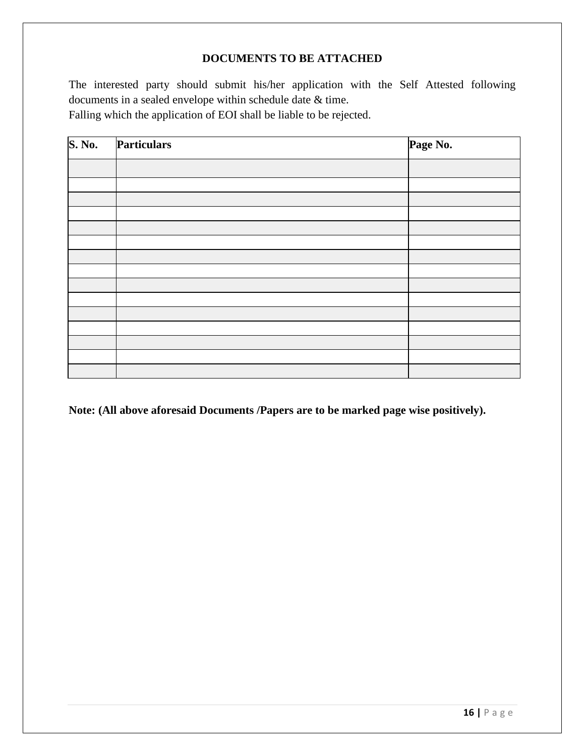## **DOCUMENTS TO BE ATTACHED**

The interested party should submit his/her application with the Self Attested following documents in a sealed envelope within schedule date & time. Falling which the application of EOI shall be liable to be rejected.

| <b>S. No.</b> | Particulars | Page No. |
|---------------|-------------|----------|
|               |             |          |
|               |             |          |
|               |             |          |
|               |             |          |
|               |             |          |
|               |             |          |
|               |             |          |
|               |             |          |
|               |             |          |
|               |             |          |
|               |             |          |
|               |             |          |
|               |             |          |
|               |             |          |
|               |             |          |

**Note: (All above aforesaid Documents /Papers are to be marked page wise positively).**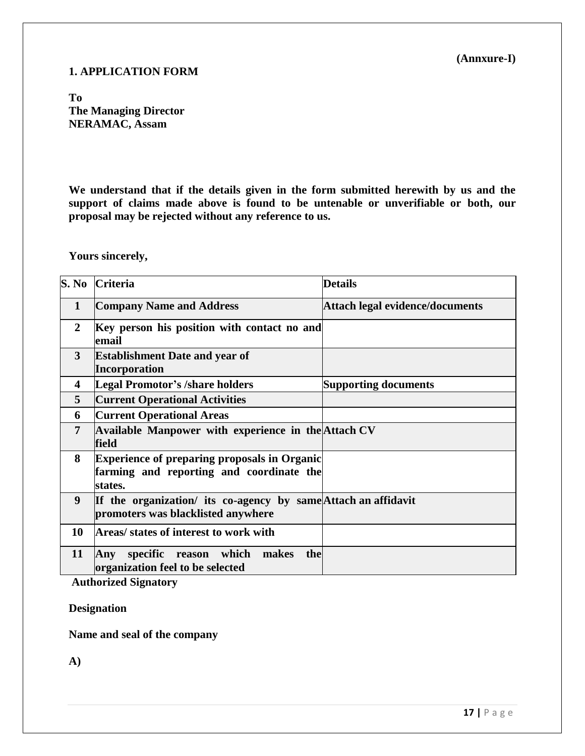## **1. APPLICATION FORM**

**(Annxure-I)**

**To The Managing Director NERAMAC, Assam**

**We understand that if the details given in the form submitted herewith by us and the support of claims made above is found to be untenable or unverifiable or both, our proposal may be rejected without any reference to us.**

**Yours sincerely,**

|                | S. No Criteria                                                                                             | <b>Details</b>                         |
|----------------|------------------------------------------------------------------------------------------------------------|----------------------------------------|
| $\mathbf{1}$   | <b>Company Name and Address</b>                                                                            | <b>Attach legal evidence/documents</b> |
| 2              | Key person his position with contact no and<br>email                                                       |                                        |
| 3              | <b>Establishment Date and year of</b><br>Incorporation                                                     |                                        |
| 4              | Legal Promotor's /share holders                                                                            | <b>Supporting documents</b>            |
| 5              | <b>Current Operational Activities</b>                                                                      |                                        |
| 6              | <b>Current Operational Areas</b>                                                                           |                                        |
| $\overline{7}$ | Available Manpower with experience in the Attach CV<br>field                                               |                                        |
| 8              | <b>Experience of preparing proposals in Organic</b><br>farming and reporting and coordinate the<br>states. |                                        |
| 9              | If the organization/ its co-agency by same Attach an affidavit<br>promoters was blacklisted anywhere       |                                        |
| 10             | Areas/ states of interest to work with                                                                     |                                        |
| 11             | Any specific reason which<br>the<br>makes<br>organization feel to be selected                              |                                        |

**Authorized Signatory**

**Designation**

**Name and seal of the company**

**A)**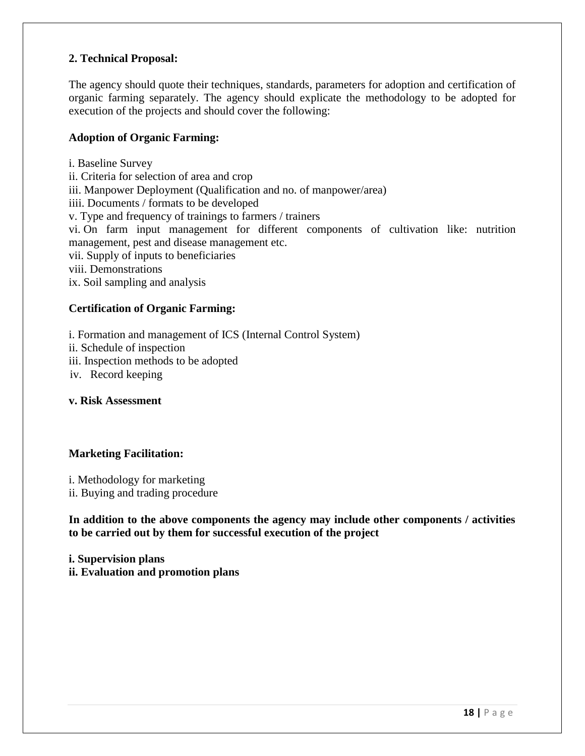## **2. Technical Proposal:**

The agency should quote their techniques, standards, parameters for adoption and certification of organic farming separately. The agency should explicate the methodology to be adopted for execution of the projects and should cover the following:

## **Adoption of Organic Farming:**

i. Baseline Survey ii. Criteria for selection of area and crop iii. Manpower Deployment (Qualification and no. of manpower/area) iiii. Documents / formats to be developed v. Type and frequency of trainings to farmers / trainers vi. On farm input management for different components of cultivation like: nutrition management, pest and disease management etc. vii. Supply of inputs to beneficiaries viii. Demonstrations ix. Soil sampling and analysis

#### **Certification of Organic Farming:**

i. Formation and management of ICS (Internal Control System)

ii. Schedule of inspection

iii. Inspection methods to be adopted

iv. Record keeping

## **v. Risk Assessment**

#### **Marketing Facilitation:**

i. Methodology for marketing ii. Buying and trading procedure

**In addition to the above components the agency may include other components / activities to be carried out by them for successful execution of the project**

**i. Supervision plans ii. Evaluation and promotion plans**